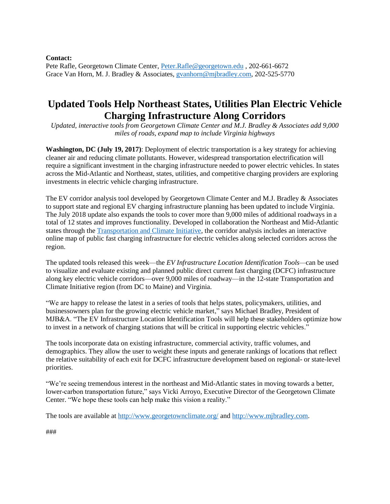**Contact:**

Pete Rafle, Georgetown Climate Center, [Peter.Rafle@georgetown.edu](mailto:Peter.Rafle@georgetown.edu) , 202-661-6672 Grace Van Horn, M. J. Bradley & Associates[, gvanhorn@mjbradley.com,](mailto:gvanhorn@mjbradley.com) 202-525-5770

## **Updated Tools Help Northeast States, Utilities Plan Electric Vehicle Charging Infrastructure Along Corridors**

*Updated, interactive tools from Georgetown Climate Center and M.J. Bradley & Associates add 9,000 miles of roads, expand map to include Virginia highways*

**Washington, DC (July 19, 2017)**: Deployment of electric transportation is a key strategy for achieving cleaner air and reducing climate pollutants. However, widespread transportation electrification will require a significant investment in the charging infrastructure needed to power electric vehicles. In states across the Mid-Atlantic and Northeast, states, utilities, and competitive charging providers are exploring investments in electric vehicle charging infrastructure.

The EV corridor analysis tool developed by Georgetown Climate Center and M.J. Bradley & Associates to support state and regional EV charging infrastructure planning has been updated to include Virginia. The July 2018 update also expands the tools to cover more than 9,000 miles of additional roadways in a total of 12 states and improves functionality. Developed in collaboration the Northeast and Mid-Atlantic states through the [Transportation and Climate Initiative,](http://www.transportationandclimate.org/) the corridor analysis includes an interactive online map of public fast charging infrastructure for electric vehicles along selected corridors across the region.

The updated tools released this week—the *EV Infrastructure Location Identification Tools—*can be used to visualize and evaluate existing and planned public direct current fast charging (DCFC) infrastructure along key electric vehicle corridors—over 9,000 miles of roadway—in the 12-state Transportation and Climate Initiative region (from DC to Maine) and Virginia.

"We are happy to release the latest in a series of tools that helps states, policymakers, utilities, and businessowners plan for the growing electric vehicle market," says Michael Bradley, President of MJB&A. "The EV Infrastructure Location Identification Tools will help these stakeholders optimize how to invest in a network of charging stations that will be critical in supporting electric vehicles."

The tools incorporate data on existing infrastructure, commercial activity, traffic volumes, and demographics. They allow the user to weight these inputs and generate rankings of locations that reflect the relative suitability of each exit for DCFC infrastructure development based on regional- or state-level priorities.

"We're seeing tremendous interest in the northeast and Mid-Atlantic states in moving towards a better, lower-carbon transportation future," says Vicki Arroyo, Executive Director of the Georgetown Climate Center. "We hope these tools can help make this vision a reality."

The tools are available at<http://www.georgetownclimate.org/> and [http://www.mjbradley.com.](http://www.mjbradley.com/)

###